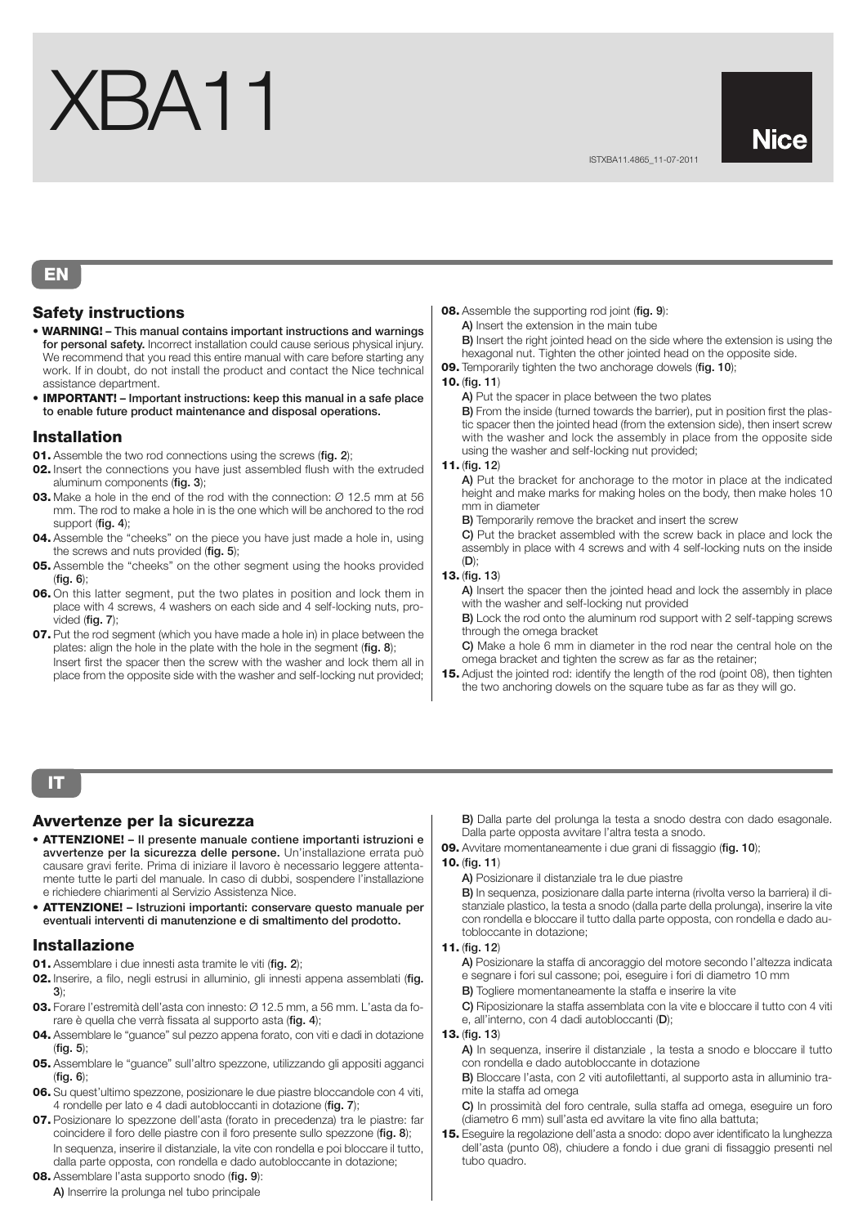# XBA11

## **EN**

## **Safety instructions**

- **WARNING! This manual contains important instructions and warnings for personal safety.** Incorrect installation could cause serious physical injury. We recommend that you read this entire manual with care before starting any work. If in doubt, do not install the product and contact the Nice technical assistance department.
- **IMPORTANT! Important instructions: keep this manual in a safe place to enable future product maintenance and disposal operations.**

## **Installation**

- **01.** Assemble the two rod connections using the screws (**fig. 2**);
- **02.** Insert the connections you have just assembled flush with the extruded aluminum components (**fig. 3**);
- **03.** Make a hole in the end of the rod with the connection: Ø 12.5 mm at 56 mm. The rod to make a hole in is the one which will be anchored to the rod support (**fig. 4**);
- **04.** Assemble the "cheeks" on the piece you have just made a hole in, using the screws and nuts provided (**fig. 5**);
- **05.** Assemble the "cheeks" on the other segment using the hooks provided (**fig. 6**);
- **06.** On this latter segment, put the two plates in position and lock them in place with 4 screws, 4 washers on each side and 4 self-locking nuts, provided (**fig. 7**);
- **07.** Put the rod segment (which you have made a hole in) in place between the plates: align the hole in the plate with the hole in the segment (**fig. 8**); Insert first the spacer then the screw with the washer and lock them all in

place from the opposite side with the washer and self-locking nut provided;

#### **08.** Assemble the supporting rod joint (**fig. 9**):

**A)** Insert the extension in the main tube **B)** Insert the right jointed head on the side where the extension is using the hexagonal nut. Tighten the other jointed head on the opposite side.

**09.** Temporarily tighten the two anchorage dowels (**fig. 10**);

#### **10.** (**fig. 11**)

**A)** Put the spacer in place between the two plates

**B)** From the inside (turned towards the barrier), put in position first the plastic spacer then the jointed head (from the extension side), then insert screw with the washer and lock the assembly in place from the opposite side using the washer and self-locking nut provided;

#### **11.** (**fig. 12**)

**A)** Put the bracket for anchorage to the motor in place at the indicated height and make marks for making holes on the body, then make holes 10 mm in diameter

**B)** Temporarily remove the bracket and insert the screw

**C)** Put the bracket assembled with the screw back in place and lock the assembly in place with 4 screws and with 4 self-locking nuts on the inside (**D**);

#### **13.** (**fig. 13**)

**A)** Insert the spacer then the jointed head and lock the assembly in place with the washer and self-locking nut provided

**B)** Lock the rod onto the aluminum rod support with 2 self-tapping screws through the omega bracket

**C)** Make a hole 6 mm in diameter in the rod near the central hole on the omega bracket and tighten the screw as far as the retainer;

**15.** Adjust the jointed rod: identify the length of the rod (point 08), then tighten the two anchoring dowels on the square tube as far as they will go.

# **IT**

## **Avvertenze per la sicurezza**

- **ATTENZIONE! Il presente manuale contiene importanti istruzioni e avvertenze per la sicurezza delle persone.** Un'installazione errata può causare gravi ferite. Prima di iniziare il lavoro è necessario leggere attentamente tutte le parti del manuale. In caso di dubbi, sospendere l'installazione e richiedere chiarimenti al Servizio Assistenza Nice.
- **ATTENZIONE! Istruzioni importanti: conservare questo manuale per eventuali interventi di manutenzione e di smaltimento del prodotto.**

## **Installazione**

**01.** Assemblare i due innesti asta tramite le viti (**fig. 2**);

**02.** Inserire, a filo, negli estrusi in alluminio, gli innesti appena assemblati (**fig. 3**);

- **03.** Forare l'estremità dell'asta con innesto: Ø 12.5 mm, a 56 mm. L'asta da forare è quella che verrà fissata al supporto asta (**fig. 4**);
- **04.** Assemblare le "guance" sul pezzo appena forato, con viti e dadi in dotazione (**fig. 5**);
- **05.** Assemblare le "guance" sull'altro spezzone, utilizzando gli appositi agganci (**fig. 6**);
- **06.** Su quest'ultimo spezzone, posizionare le due piastre bloccandole con 4 viti, 4 rondelle per lato e 4 dadi autobloccanti in dotazione (**fig. 7**);
- **07.** Posizionare lo spezzone dell'asta (forato in precedenza) tra le piastre: far coincidere il foro delle piastre con il foro presente sullo spezzone (**fig. 8**); In sequenza, inserire il distanziale, la vite con rondella e poi bloccare il tutto, dalla parte opposta, con rondella e dado autobloccante in dotazione;

**08.** Assemblare l'asta supporto snodo (**fig. 9**):

**A)** Inserrire la prolunga nel tubo principale

**B)** Dalla parte del prolunga la testa a snodo destra con dado esagonale. Dalla parte opposta avvitare l'altra testa a snodo.

**09.** Avvitare momentaneamente i due grani di fissaggio (**fig. 10**);

## **10.** (**fig. 11**)

**A)** Posizionare il distanziale tra le due piastre

**B)** In sequenza, posizionare dalla parte interna (rivolta verso la barriera) il distanziale plastico, la testa a snodo (dalla parte della prolunga), inserire la vite con rondella e bloccare il tutto dalla parte opposta, con rondella e dado autobloccante in dotazione;

#### **11.** (**fig. 12**)

**A)** Posizionare la staffa di ancoraggio del motore secondo l'altezza indicata e segnare i fori sul cassone; poi, eseguire i fori di diametro 10 mm

**B)** Togliere momentaneamente la staffa e inserire la vite **C)** Riposizionare la staffa assemblata con la vite e bloccare il tutto con 4 viti

e, all'interno, con 4 dadi autobloccanti (**D**);

#### **13.** (**fig. 13**)

**A)** In sequenza, inserire il distanziale , la testa a snodo e bloccare il tutto con rondella e dado autobloccante in dotazione

**B)** Bloccare l'asta, con 2 viti autofilettanti, al supporto asta in alluminio tramite la staffa ad omega

**C)** In prossimità del foro centrale, sulla staffa ad omega, eseguire un foro (diametro 6 mm) sull'asta ed avvitare la vite fino alla battuta;

**15.** Eseguire la regolazione dell'asta a snodo: dopo aver identificato la lunghezza dell'asta (punto 08), chiudere a fondo i due grani di fissaggio presenti nel tubo quadro.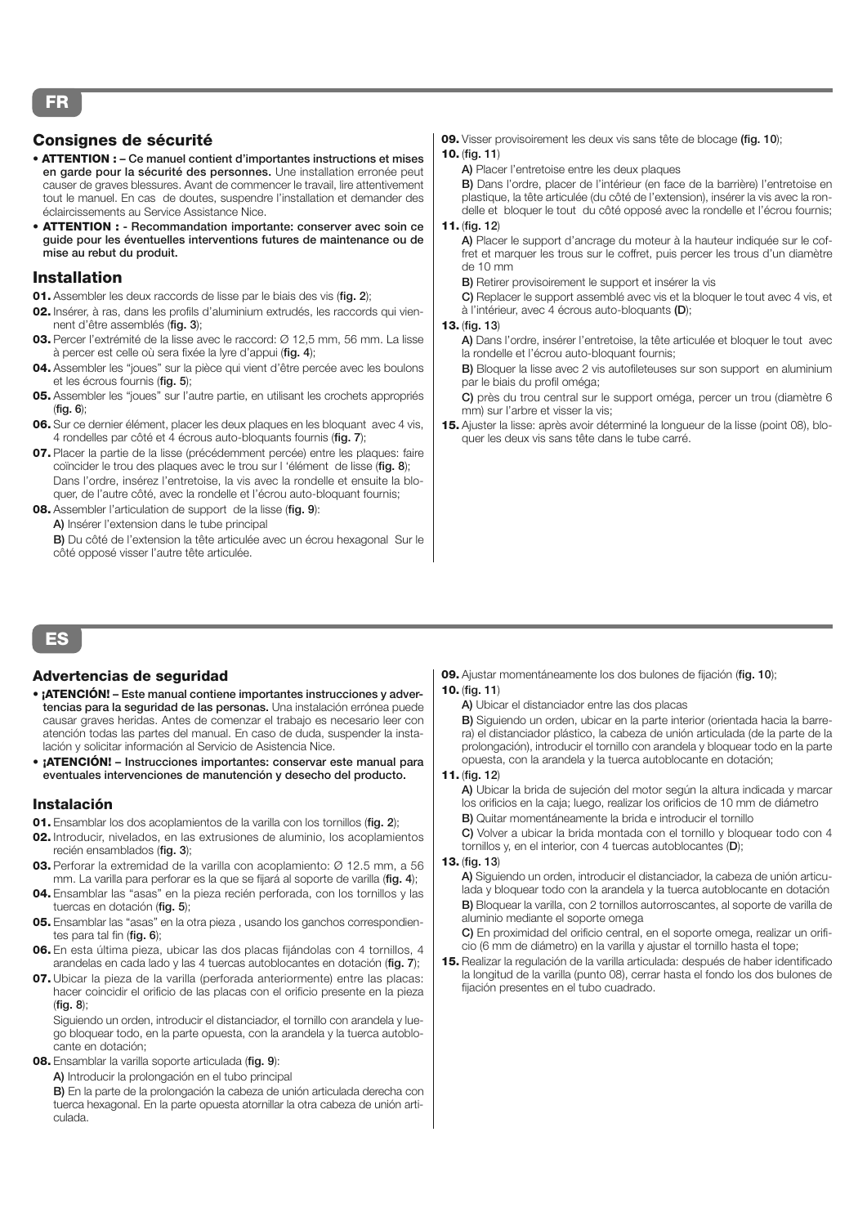## **Consignes de sécurité**

- **ATTENTION : Ce manuel contient d'importantes instructions et mises en garde pour la sécurité des personnes.** Une installation erronée peut causer de graves blessures. Avant de commencer le travail, lire attentivement tout le manuel. En cas de doutes, suspendre l'installation et demander des éclaircissements au Service Assistance Nice.
- **ATTENTION : Recommandation importante: conserver avec soin ce guide pour les éventuelles interventions futures de maintenance ou de mise au rebut du produit.**

## **Installation**

- **01.** Assembler les deux raccords de lisse par le biais des vis (**fig. 2**);
- **02.** Insérer, à ras, dans les profils d'aluminium extrudés, les raccords qui viennent d'être assemblés (**fig. 3**);
- **03.** Percer l'extrémité de la lisse avec le raccord: Ø 12,5 mm, 56 mm. La lisse à percer est celle où sera fixée la lyre d'appui (**fig. 4**);
- **04.** Assembler les "joues" sur la pièce qui vient d'être percée avec les boulons et les écrous fournis (**fig. 5**);
- **05.** Assembler les "joues" sur l'autre partie, en utilisant les crochets appropriés (**fig. 6**);
- **06.** Sur ce dernier élément, placer les deux plaques en les bloquant avec 4 vis, 4 rondelles par côté et 4 écrous auto-bloquants fournis (**fig. 7**);
- **07.** Placer la partie de la lisse (précédemment percée) entre les plaques: faire coïncider le trou des plaques avec le trou sur l 'élément de lisse (**fig. 8**); Dans l'ordre, insérez l'entretoise, la vis avec la rondelle et ensuite la bloquer, de l'autre côté, avec la rondelle et l'écrou auto-bloquant fournis;
- **08.** Assembler l'articulation de support de la lisse (**fig. 9**):
	- **A)** Insérer l'extension dans le tube principal

**B)** Du côté de l'extension la tête articulée avec un écrou hexagonal Sur le côté opposé visser l'autre tête articulée.

- **09.** Visser provisoirement les deux vis sans tête de blocage **(fig. 10**);
- **10.** (**fig. 11**)
	- **A)** Placer l'entretoise entre les deux plaques

**B)** Dans l'ordre, placer de l'intérieur (en face de la barrière) l'entretoise en plastique, la tête articulée (du côté de l'extension), insérer la vis avec la rondelle et bloquer le tout du côté opposé avec la rondelle et l'écrou fournis;

#### **11.** (**fig. 12**)

**A)** Placer le support d'ancrage du moteur à la hauteur indiquée sur le coffret et marquer les trous sur le coffret, puis percer les trous d'un diamètre de 10 mm

**B)** Retirer provisoirement le support et insérer la vis

**C)** Replacer le support assemblé avec vis et la bloquer le tout avec 4 vis, et à l'intérieur, avec 4 écrous auto-bloquants **(D**);

#### **13.** (**fig. 13**)

**A)** Dans l'ordre, insérer l'entretoise, la tête articulée et bloquer le tout avec la rondelle et l'écrou auto-bloquant fournis;

**B)** Bloquer la lisse avec 2 vis autofileteuses sur son support en aluminium par le biais du profil oméga;

**C)** près du trou central sur le support oméga, percer un trou (diamètre 6 mm) sur l'arbre et visser la vis;

**15.** Ajuster la lisse: après avoir déterminé la longueur de la lisse (point 08), bloquer les deux vis sans tête dans le tube carré.

# **ES**

## **Advertencias de seguridad**

- **¡ATENCIÓN! Este manual contiene importantes instrucciones y advertencias para la seguridad de las personas.** Una instalación errónea puede causar graves heridas. Antes de comenzar el trabajo es necesario leer con atención todas las partes del manual. En caso de duda, suspender la instalación y solicitar información al Servicio de Asistencia Nice.
- **¡ATENCIÓN! Instrucciones importantes: conservar este manual para eventuales intervenciones de manutención y desecho del producto.**

#### **Instalación**

- **01.** Ensamblar los dos acoplamientos de la varilla con los tornillos (**fig. 2**);
- **02.** Introducir, nivelados, en las extrusiones de aluminio, los acoplamientos recién ensamblados (**fig. 3**);
- **03.** Perforar la extremidad de la varilla con acoplamiento: Ø 12.5 mm, a 56 mm. La varilla para perforar es la que se fijará al soporte de varilla (**fig. 4**);
- **04.** Ensamblar las "asas" en la pieza recién perforada, con los tornillos y las tuercas en dotación (**fig. 5**);
- **05.** Ensamblar las "asas" en la otra pieza , usando los ganchos correspondientes para tal fin (**fig. 6**);
- **06.** En esta última pieza, ubicar las dos placas fijándolas con 4 tornillos, 4 arandelas en cada lado y las 4 tuercas autoblocantes en dotación (**fig. 7**);
- **07.** Ubicar la pieza de la varilla (perforada anteriormente) entre las placas: hacer coincidir el orificio de las placas con el orificio presente en la pieza (**fig. 8**);

Siguiendo un orden, introducir el distanciador, el tornillo con arandela y luego bloquear todo, en la parte opuesta, con la arandela y la tuerca autoblocante en dotación;

- **08.** Ensamblar la varilla soporte articulada (**fig. 9**):
	- **A)** Introducir la prolongación en el tubo principal

**B)** En la parte de la prolongación la cabeza de unión articulada derecha con tuerca hexagonal. En la parte opuesta atornillar la otra cabeza de unión articulada.

**09.** Ajustar momentáneamente los dos bulones de fijación (**fig. 10**); **10.** (**fig. 11**)

## **A)** Ubicar el distanciador entre las dos placas

**B)** Siguiendo un orden, ubicar en la parte interior (orientada hacia la barrera) el distanciador plástico, la cabeza de unión articulada (de la parte de la prolongación), introducir el tornillo con arandela y bloquear todo en la parte opuesta, con la arandela y la tuerca autoblocante en dotación;

#### **11.** (**fig. 12**)

**A)** Ubicar la brida de sujeción del motor según la altura indicada y marcar los orificios en la caja; luego, realizar los orificios de 10 mm de diámetro **B)** Quitar momentáneamente la brida e introducir el tornillo

**C)** Volver a ubicar la brida montada con el tornillo y bloquear todo con 4 tornillos y, en el interior, con 4 tuercas autoblocantes (**D**);

#### **13.** (**fig. 13**)

**A)** Siguiendo un orden, introducir el distanciador, la cabeza de unión articulada y bloquear todo con la arandela y la tuerca autoblocante en dotación **B)** Bloquear la varilla, con 2 tornillos autorroscantes, al soporte de varilla de aluminio mediante el soporte omega

**C)** En proximidad del orificio central, en el soporte omega, realizar un orificio (6 mm de diámetro) en la varilla y ajustar el tornillo hasta el tope;

**15.** Realizar la regulación de la varilla articulada: después de haber identificado la longitud de la varilla (punto 08), cerrar hasta el fondo los dos bulones de fijación presentes en el tubo cuadrado.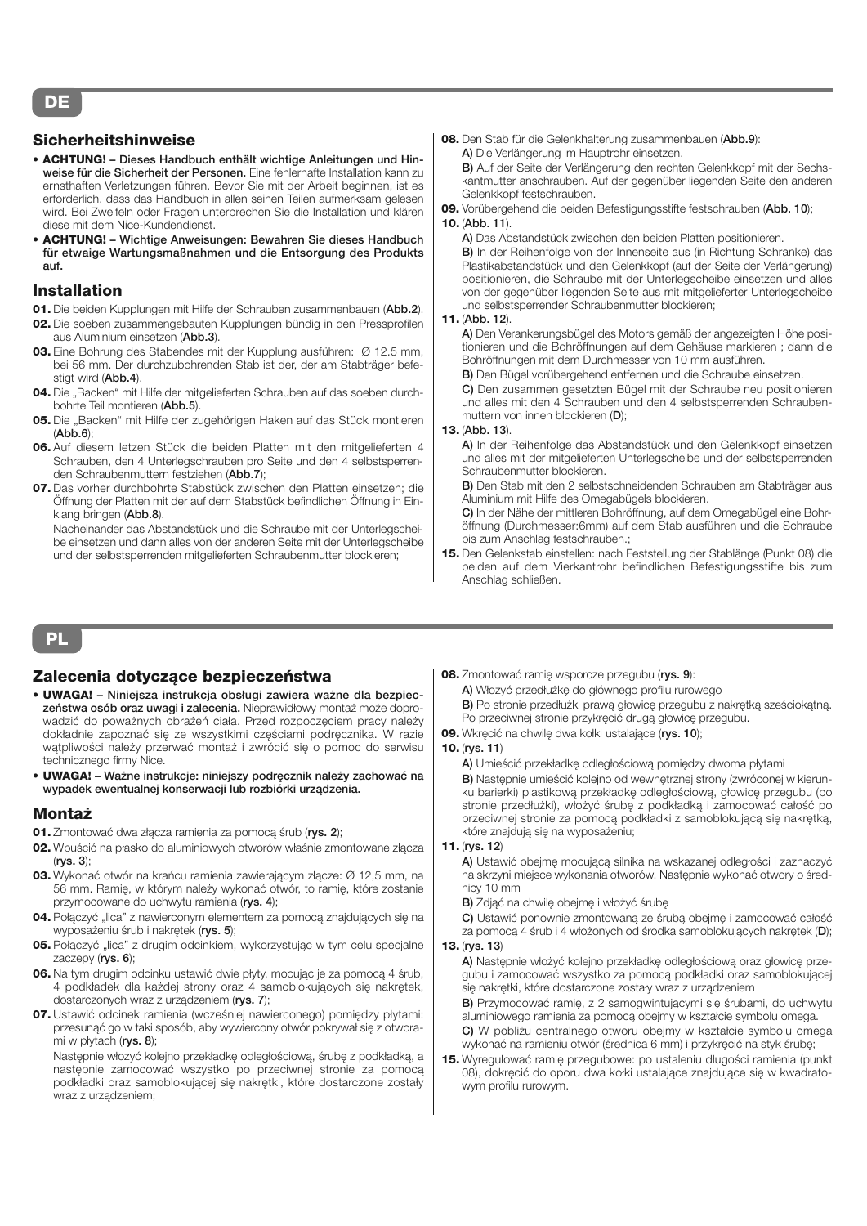## **DE**

## **Sicherheitshinweise**

- **ACHTUNG! Dieses Handbuch enthält wichtige Anleitungen und Hinweise für die Sicherheit der Personen.** Eine fehlerhafte Installation kann zu ernsthaften Verletzungen führen. Bevor Sie mit der Arbeit beginnen, ist es erforderlich, dass das Handbuch in allen seinen Teilen aufmerksam gelesen wird. Bei Zweifeln oder Fragen unterbrechen Sie die Installation und klären diese mit dem Nice-Kundendienst.
- **ACHTUNG! Wichtige Anweisungen: Bewahren Sie dieses Handbuch für etwaige Wartungsmaßnahmen und die Entsorgung des Produkts auf.**

## **Installation**

- **01.** Die beiden Kupplungen mit Hilfe der Schrauben zusammenbauen (**Abb.2**).
- **02.** Die soeben zusammengebauten Kupplungen bündig in den Pressprofilen aus Aluminium einsetzen (**Abb.3**).
- **03.** Eine Bohrung des Stabendes mit der Kupplung ausführen: Ø 12.5 mm, bei 56 mm. Der durchzubohrenden Stab ist der, der am Stabträger befestigt wird (**Abb.4**).
- **04.** Die "Backen" mit Hilfe der mitgelieferten Schrauben auf das soeben durchbohrte Teil montieren (**Abb.5**).
- 05. Die "Backen" mit Hilfe der zugehörigen Haken auf das Stück montieren (**Abb.6**);
- **06.** Auf diesem letzen Stück die beiden Platten mit den mitgelieferten 4 Schrauben, den 4 Unterlegschrauben pro Seite und den 4 selbstsperrenden Schraubenmuttern festziehen (**Abb.7**);
- **07.** Das vorher durchbohrte Stabstück zwischen den Platten einsetzen; die Öffnung der Platten mit der auf dem Stabstück befindlichen Öffnung in Einklang bringen (**Abb.8**).

Nacheinander das Abstandstück und die Schraube mit der Unterlegscheibe einsetzen und dann alles von der anderen Seite mit der Unterlegscheibe und der selbstsperrenden mitgelieferten Schraubenmutter blockieren;

**08.** Den Stab für die Gelenkhalterung zusammenbauen (**Abb.9**): **A)** Die Verlängerung im Hauptrohr einsetzen.

**B)** Auf der Seite der Verlängerung den rechten Gelenkkopf mit der Sechskantmutter anschrauben. Auf der gegenüber liegenden Seite den anderen Gelenkkopf festschrauben.

**09.** Vorübergehend die beiden Befestigungsstifte festschrauben (**Abb. 10**);

#### **10.** (**Abb. 11**).

**A)** Das Abstandstück zwischen den beiden Platten positionieren. **B)** In der Reihenfolge von der Innenseite aus (in Richtung Schranke) das Plastikabstandstück und den Gelenkkopf (auf der Seite der Verlängerung) positionieren, die Schraube mit der Unterlegscheibe einsetzen und alles von der gegenüber liegenden Seite aus mit mitgelieferter Unterlegscheibe und selbstsperrender Schraubenmutter blockieren;

#### **11.** (**Abb. 12**).

**A)** Den Verankerungsbügel des Motors gemäß der angezeigten Höhe positionieren und die Bohröffnungen auf dem Gehäuse markieren ; dann die Bohröffnungen mit dem Durchmesser von 10 mm ausführen.

**B)** Den Bügel vorübergehend entfernen und die Schraube einsetzen.

**C)** Den zusammen gesetzten Bügel mit der Schraube neu positionieren und alles mit den 4 Schrauben und den 4 selbstsperrenden Schraubenmuttern von innen blockieren (**D**);

#### **13.** (**Abb. 13**).

**A)** In der Reihenfolge das Abstandstück und den Gelenkkopf einsetzen und alles mit der mitgelieferten Unterlegscheibe und der selbstsperrenden Schraubenmutter blockieren.

**B)** Den Stab mit den 2 selbstschneidenden Schrauben am Stabträger aus Aluminium mit Hilfe des Omegabügels blockieren.

**C)** In der Nähe der mittleren Bohröffnung, auf dem Omegabügel eine Bohröffnung (Durchmesser:6mm) auf dem Stab ausführen und die Schraube bis zum Anschlag festschrauben.;

**15.** Den Gelenkstab einstellen: nach Feststellung der Stablänge (Punkt 08) die beiden auf dem Vierkantrohr befindlichen Befestigungsstifte bis zum Anschlag schließen.

## **PL**

## **Zalecenia dotyczące bezpieczeństwa**

- **UWAGA! Niniejsza instrukcja obsługi zawiera ważne dla bezpieczeństwa osób oraz uwagi i zalecenia.** Nieprawidłowy montaż może doprowadzić do poważnych obrażeń ciała. Przed rozpoczęciem pracy należy dokładnie zapoznać się ze wszystkimi częściami podręcznika. W razie wątpliwości należy przerwać montaż i zwrócić się o pomoc do serwisu technicznego firmy Nice.
- **UWAGA! Ważne instrukcje: niniejszy podręcznik należy zachować na wypadek ewentualnej konserwacji lub rozbiórki urządzenia.**

## **Montaż**

- **01.** Zmontować dwa złącza ramienia za pomocą śrub (**rys. 2**);
- **02.** Wpuścić na płasko do aluminiowych otworów właśnie zmontowane złącza (**rys. 3**);
- **03.** Wykonać otwór na krańcu ramienia zawierającym złącze: Ø 12,5 mm, na 56 mm. Ramię, w którym należy wykonać otwór, to ramię, które zostanie przymocowane do uchwytu ramienia (**rys. 4**);
- **04.** Połączyć "lica" z nawierconym elementem za pomocą znajdujących się na wyposażeniu śrub i nakrętek (**rys. 5**);
- 05. Połączyć "lica" z drugim odcinkiem, wykorzystując w tym celu specjalne zaczepy (**rys. 6**);
- **06.** Na tym drugim odcinku ustawić dwie płyty, mocując je za pomocą 4 śrub, 4 podkładek dla każdej strony oraz 4 samoblokujących się nakrętek, dostarczonych wraz z urządzeniem (**rys. 7**);
- **07.** Ustawić odcinek ramienia (wcześniej nawierconego) pomiędzy płytami: przesunąć go w taki sposób, aby wywiercony otwór pokrywał się z otworami w płytach (**rys. 8**);

Następnie włożyć kolejno przekładkę odległościową, śrubę z podkładką, a następnie zamocować wszystko po przeciwnej stronie za pomocą podkładki oraz samoblokującej się nakrętki, które dostarczone zostały wraz z urządzeniem;

**08.** Zmontować ramię wsporcze przegubu (**rys. 9**):

**A)** Włożyć przedłużkę do głównego profilu rurowego

**B)** Po stronie przedłużki prawą głowicę przegubu z nakrętką sześciokątną. Po przeciwnej stronie przykręcić drugą głowicę przegubu.

**09.** Wkręcić na chwilę dwa kołki ustalające (**rys. 10**);

#### **10.** (**rys. 11**)

**A)** Umieścić przekładkę odległościową pomiędzy dwoma płytami

**B)** Następnie umieścić kolejno od wewnętrznej strony (zwróconej w kierunku barierki) plastikową przekładkę odległościową, głowicę przegubu (po stronie przedłużki), włożyć śrubę z podkładką i zamocować całość po przeciwnej stronie za pomocą podkładki z samoblokującą się nakrętką, które znajdują się na wyposażeniu;

## **11.** (**rys. 12**)

**A)** Ustawić obejmę mocującą silnika na wskazanej odległości i zaznaczyć na skrzyni miejsce wykonania otworów. Następnie wykonać otwory o średnicy 10 mm

- **B)** Zdjąć na chwilę obejmę i włożyć śrubę
- **C)** Ustawić ponownie zmontowaną ze śrubą obejmę i zamocować całość za pomocą 4 śrub i 4 włożonych od środka samoblokujących nakrętek (**D**);

## **13.** (**rys. 13**)

**A)** Następnie włożyć kolejno przekładkę odległościową oraz głowicę przegubu i zamocować wszystko za pomocą podkładki oraz samoblokującej się nakrętki, które dostarczone zostały wraz z urządzeniem

**B)** Przymocować ramię, z 2 samogwintującymi się śrubami, do uchwytu aluminiowego ramienia za pomocą obejmy w kształcie symbolu omega. **C)** W pobliżu centralnego otworu obejmy w kształcie symbolu omega wykonać na ramieniu otwór (średnica 6 mm) i przykręcić na styk śrubę;

**15.** Wyregulować ramię przegubowe: po ustaleniu długości ramienia (punkt 08), dokręcić do oporu dwa kołki ustalające znajdujące się w kwadratowym profilu rurowym.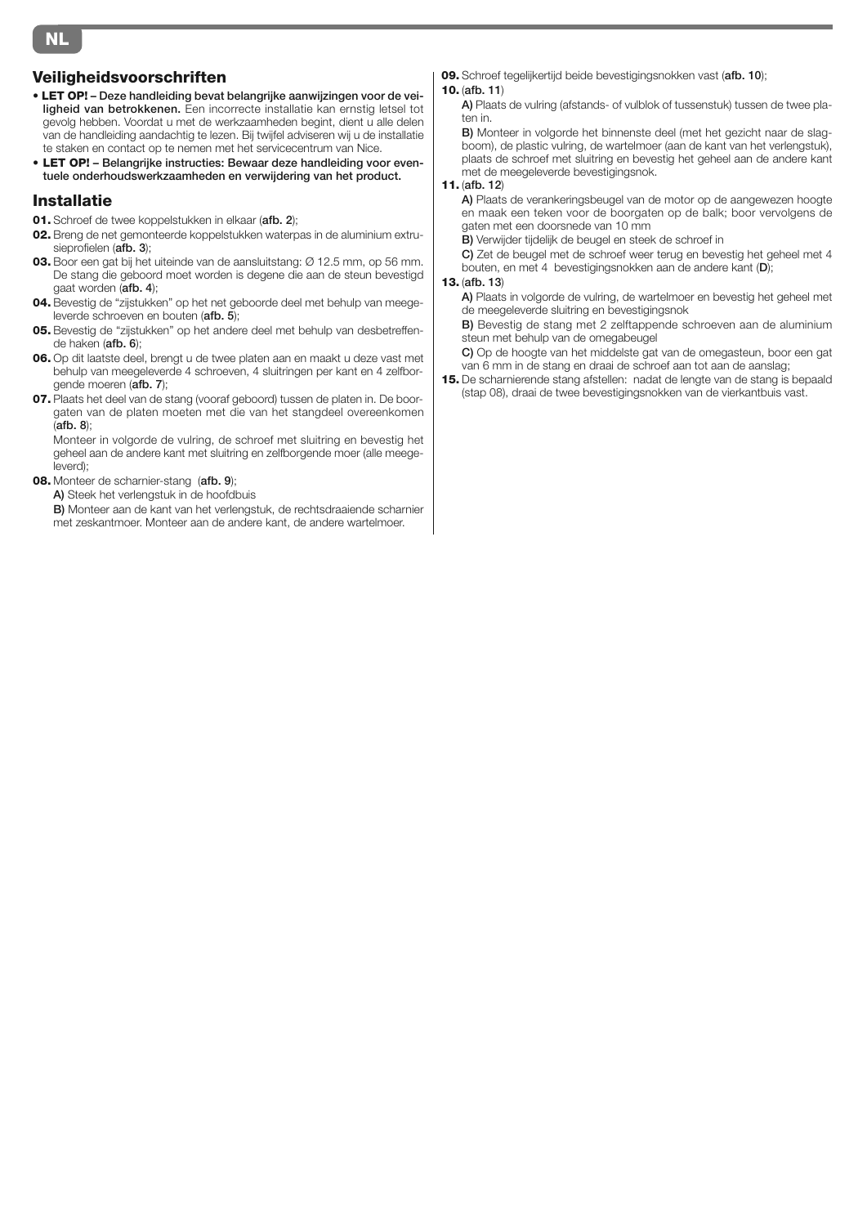## **Veiligheidsvoorschriften**

- **LET OP! Deze handleiding bevat belangrijke aanwijzingen voor de veiligheid van betrokkenen.** Een incorrecte installatie kan ernstig letsel tot gevolg hebben. Voordat u met de werkzaamheden begint, dient u alle delen van de handleiding aandachtig te lezen. Bij twijfel adviseren wij u de installatie te staken en contact op te nemen met het servicecentrum van Nice.
- **LET OP! Belangrijke instructies: Bewaar deze handleiding voor eventuele onderhoudswerkzaamheden en verwijdering van het product.**

#### **Installatie**

- **01.** Schroef de twee koppelstukken in elkaar (**afb. 2**);
- **02.** Breng de net gemonteerde koppelstukken waterpas in de aluminium extrusieprofielen (**afb. 3**);
- **03.** Boor een gat bij het uiteinde van de aansluitstang: Ø 12.5 mm, op 56 mm. De stang die geboord moet worden is degene die aan de steun bevestigd gaat worden (**afb. 4**);
- **04.** Bevestig de "zijstukken" op het net geboorde deel met behulp van meegeleverde schroeven en bouten (**afb. 5**);
- **05.** Bevestig de "zijstukken" op het andere deel met behulp van desbetreffende haken (**afb. 6**);
- **06.** Op dit laatste deel, brengt u de twee platen aan en maakt u deze vast met behulp van meegeleverde 4 schroeven, 4 sluitringen per kant en 4 zelfborgende moeren (**afb. 7**);
- **07.** Plaats het deel van de stang (vooraf geboord) tussen de platen in. De boorgaten van de platen moeten met die van het stangdeel overeenkomen (**afb. 8**);

Monteer in volgorde de vulring, de schroef met sluitring en bevestig het geheel aan de andere kant met sluitring en zelfborgende moer (alle meegeleverd);

- **08.** Monteer de scharnier-stang (**afb. 9**);
	- **A)** Steek het verlengstuk in de hoofdbuis

**B)** Monteer aan de kant van het verlengstuk, de rechtsdraaiende scharnier met zeskantmoer. Monteer aan de andere kant, de andere wartelmoer.

**09.** Schroef tegelijkertijd beide bevestigingsnokken vast (**afb. 10**);

#### **10.** (**afb. 11**)

**A)** Plaats de vulring (afstands- of vulblok of tussenstuk) tussen de twee platen in.

**B)** Monteer in volgorde het binnenste deel (met het gezicht naar de slagboom), de plastic vulring, de wartelmoer (aan de kant van het verlengstuk), plaats de schroef met sluitring en bevestig het geheel aan de andere kant met de meegeleverde bevestigingsnok.

#### **11.** (**afb. 12**)

**A)** Plaats de verankeringsbeugel van de motor op de aangewezen hoogte en maak een teken voor de boorgaten op de balk; boor vervolgens de gaten met een doorsnede van 10 mm

**B)** Verwijder tijdelijk de beugel en steek de schroef in

**C)** Zet de beugel met de schroef weer terug en bevestig het geheel met 4 bouten, en met 4 bevestigingsnokken aan de andere kant (**D**);

#### **13.** (**afb. 13**)

**A)** Plaats in volgorde de vulring, de wartelmoer en bevestig het geheel met de meegeleverde sluitring en bevestigingsnok

**B)** Bevestig de stang met 2 zelftappende schroeven aan de aluminium steun met behulp van de omegabeugel

**C)** Op de hoogte van het middelste gat van de omegasteun, boor een gat van 6 mm in de stang en draai de schroef aan tot aan de aanslag;

**15.** De scharnierende stang afstellen: nadat de lengte van de stang is bepaald (stap 08), draai de twee bevestigingsnokken van de vierkantbuis vast.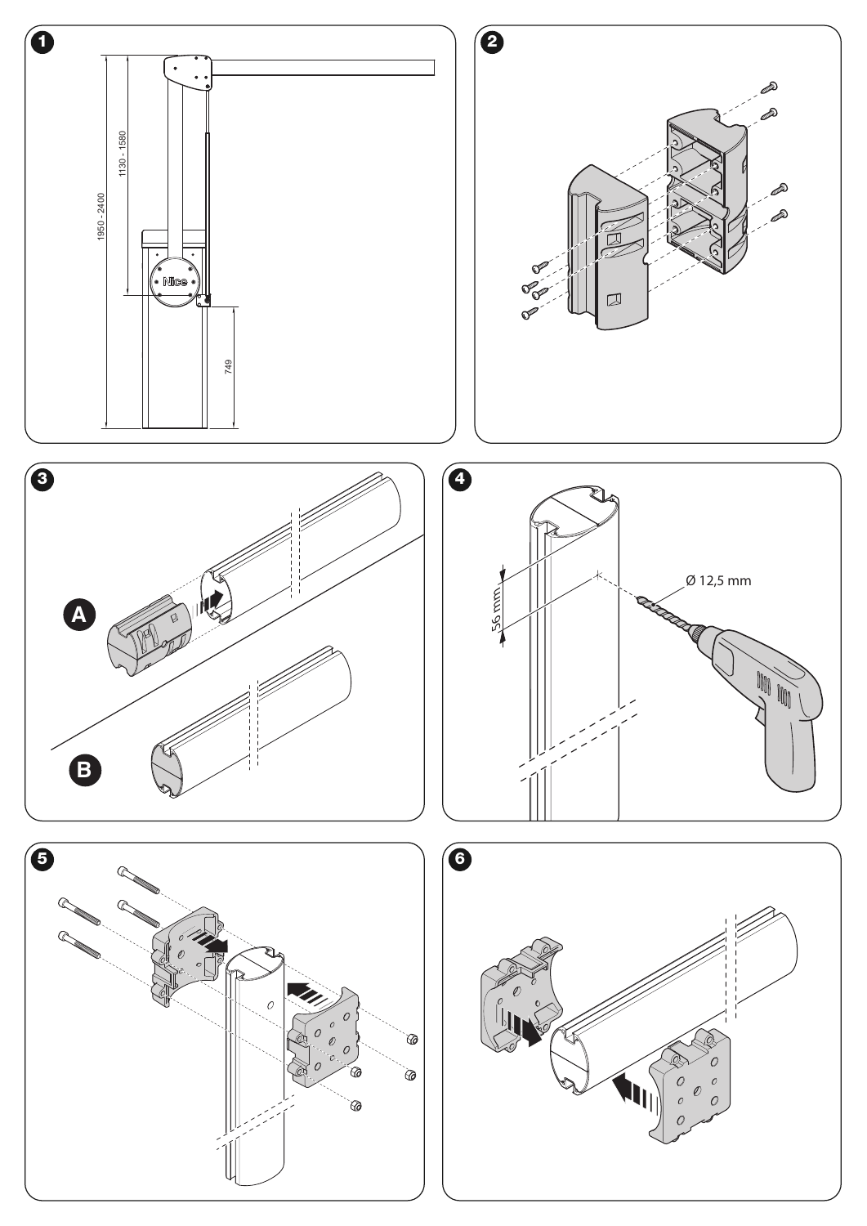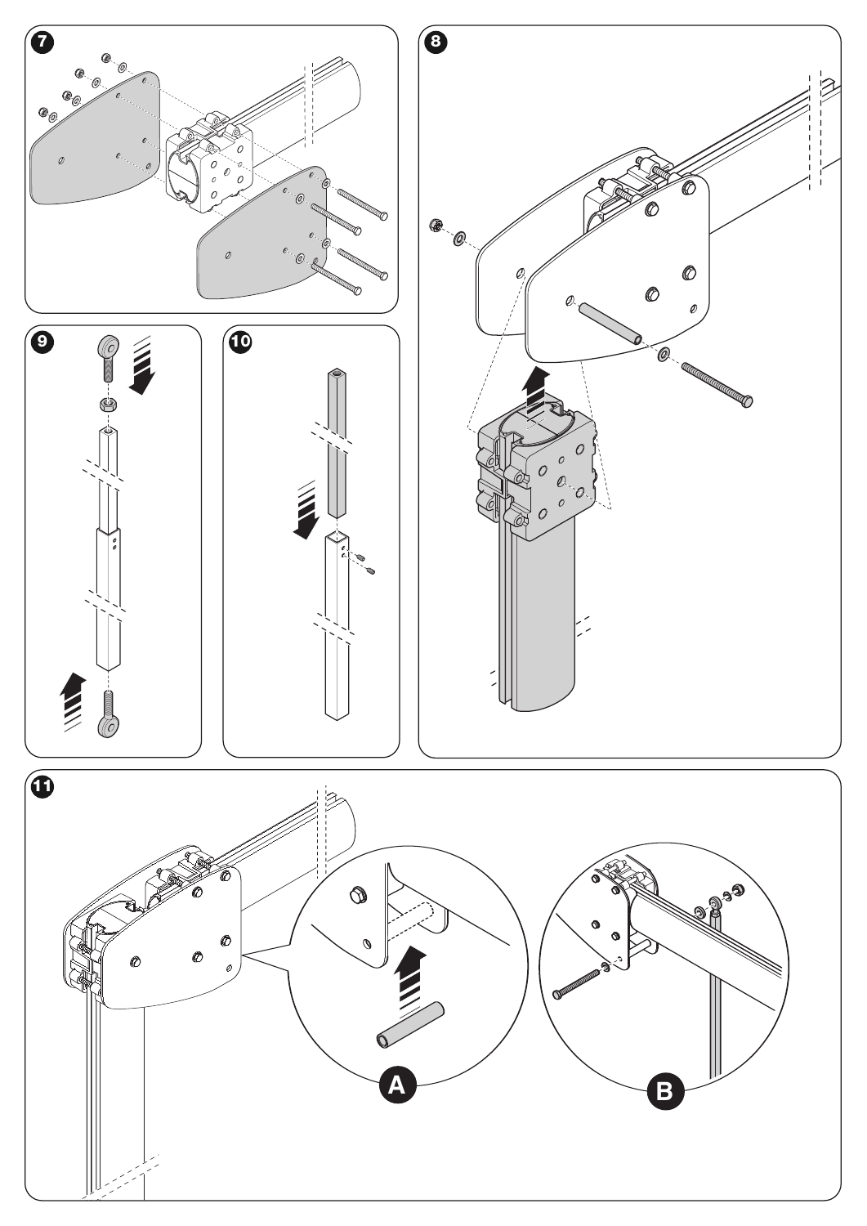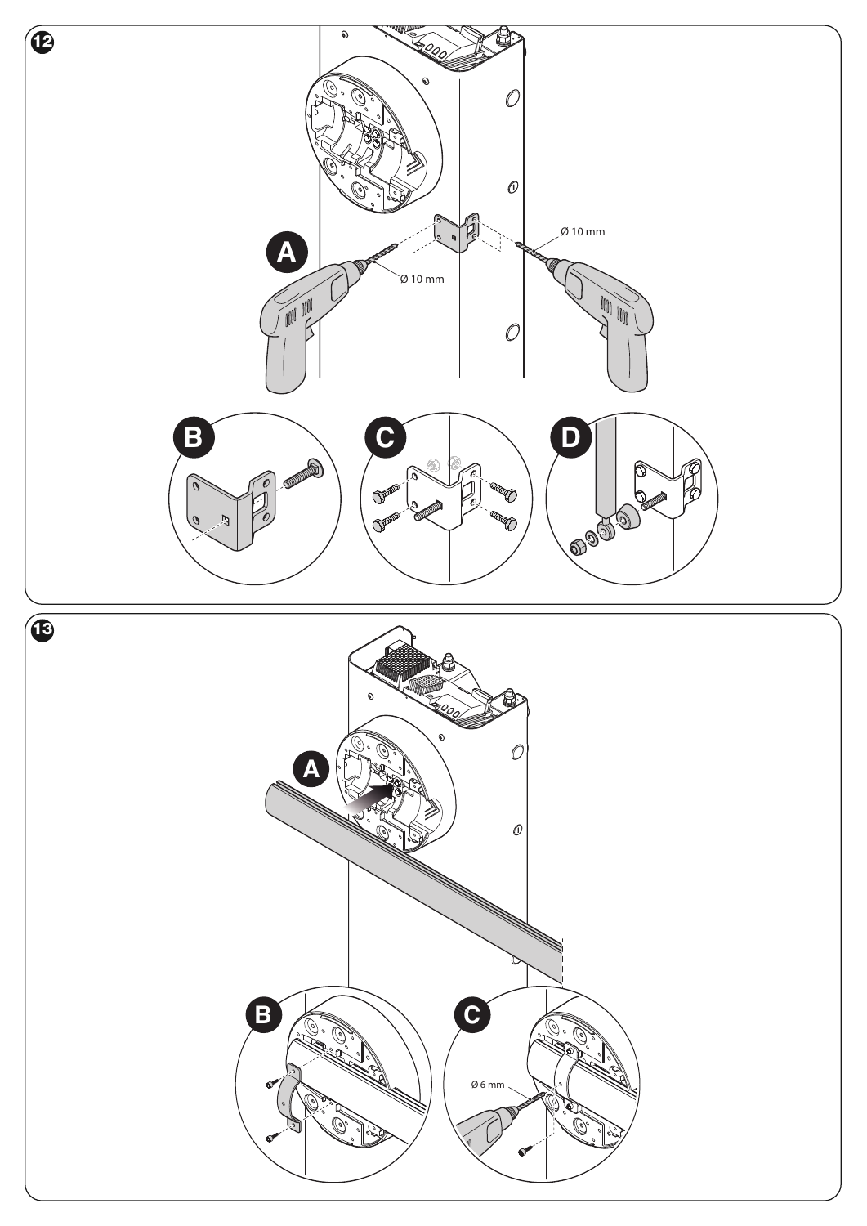